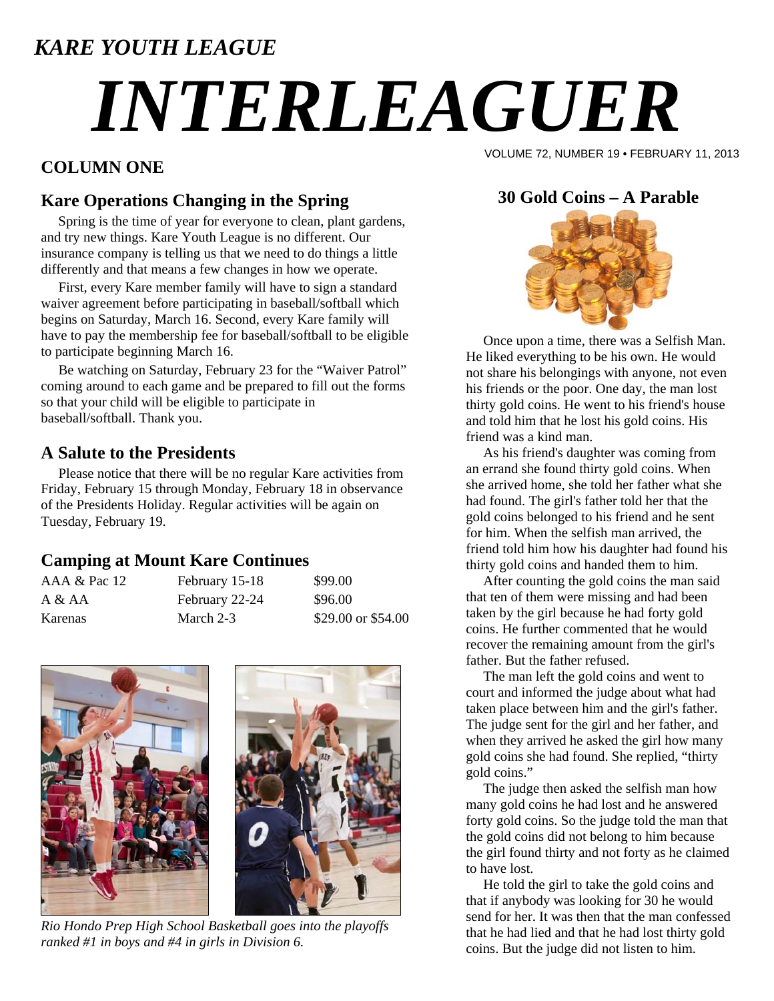### *KARE YOUTH LEAGUE*

# *INTERLEAGUER*

#### **COLUMN ONE**

VOLUME 72, NUMBER 19 • FEBRUARY 11, 2013

#### **Kare Operations Changing in the Spring**

 Spring is the time of year for everyone to clean, plant gardens, and try new things. Kare Youth League is no different. Our insurance company is telling us that we need to do things a little differently and that means a few changes in how we operate.

 First, every Kare member family will have to sign a standard waiver agreement before participating in baseball/softball which begins on Saturday, March 16. Second, every Kare family will have to pay the membership fee for baseball/softball to be eligible to participate beginning March 16.

 Be watching on Saturday, February 23 for the "Waiver Patrol" coming around to each game and be prepared to fill out the forms so that your child will be eligible to participate in baseball/softball. Thank you.

#### **A Salute to the Presidents**

 Please notice that there will be no regular Kare activities from Friday, February 15 through Monday, February 18 in observance of the Presidents Holiday. Regular activities will be again on Tuesday, February 19.

#### **Camping at Mount Kare Continues**

| AAA & Pac 12 | February 15-18 | \$99.00            |
|--------------|----------------|--------------------|
| A & A        | February 22-24 | \$96.00            |
| Karenas      | March 2-3      | \$29.00 or \$54.00 |



*Rio Hondo Prep High School Basketball goes into the playoffs ranked #1 in boys and #4 in girls in Division 6.* 

#### **30 Gold Coins – A Parable**



 Once upon a time, there was a Selfish Man. He liked everything to be his own. He would not share his belongings with anyone, not even his friends or the poor. One day, the man lost thirty gold coins. He went to his friend's house and told him that he lost his gold coins. His friend was a kind man.

 As his friend's daughter was coming from an errand she found thirty gold coins. When she arrived home, she told her father what she had found. The girl's father told her that the gold coins belonged to his friend and he sent for him. When the selfish man arrived, the friend told him how his daughter had found his thirty gold coins and handed them to him.

 After counting the gold coins the man said that ten of them were missing and had been taken by the girl because he had forty gold coins. He further commented that he would recover the remaining amount from the girl's father. But the father refused.

 The man left the gold coins and went to court and informed the judge about what had taken place between him and the girl's father. The judge sent for the girl and her father, and when they arrived he asked the girl how many gold coins she had found. She replied, "thirty gold coins."

 The judge then asked the selfish man how many gold coins he had lost and he answered forty gold coins. So the judge told the man that the gold coins did not belong to him because the girl found thirty and not forty as he claimed to have lost.

 He told the girl to take the gold coins and that if anybody was looking for 30 he would send for her. It was then that the man confessed that he had lied and that he had lost thirty gold coins. But the judge did not listen to him.